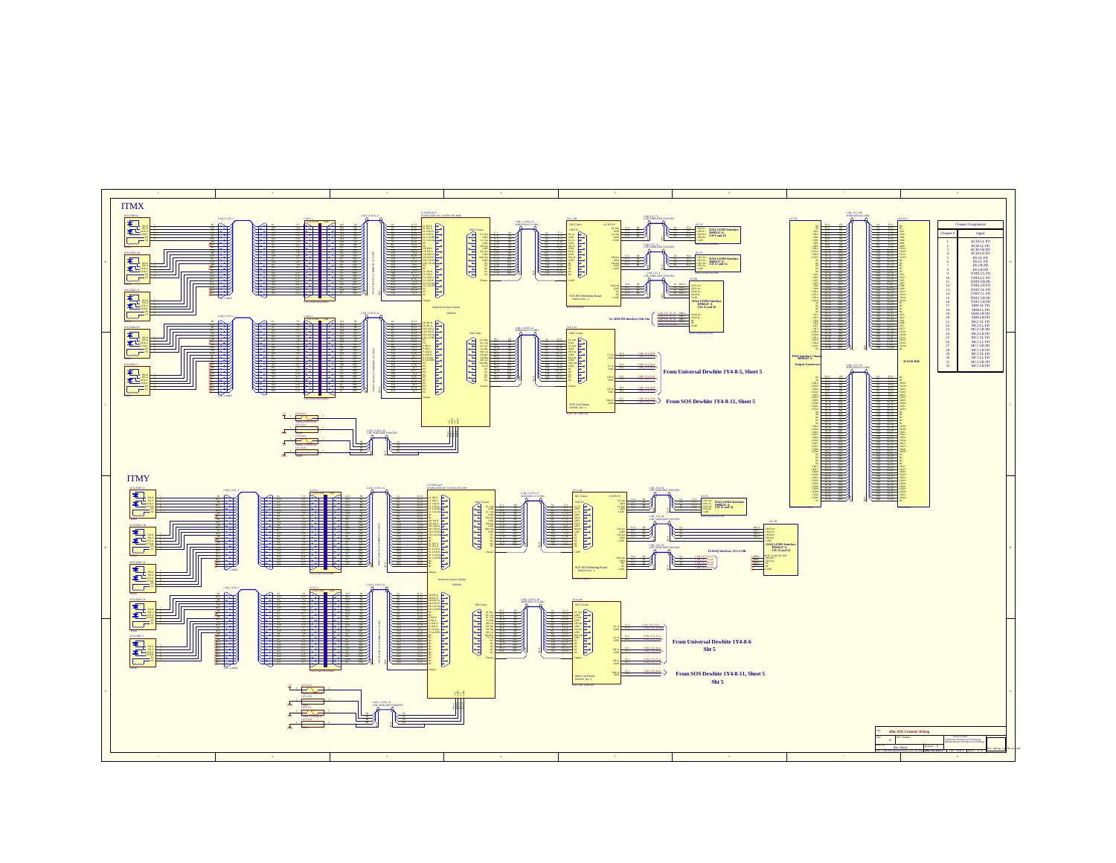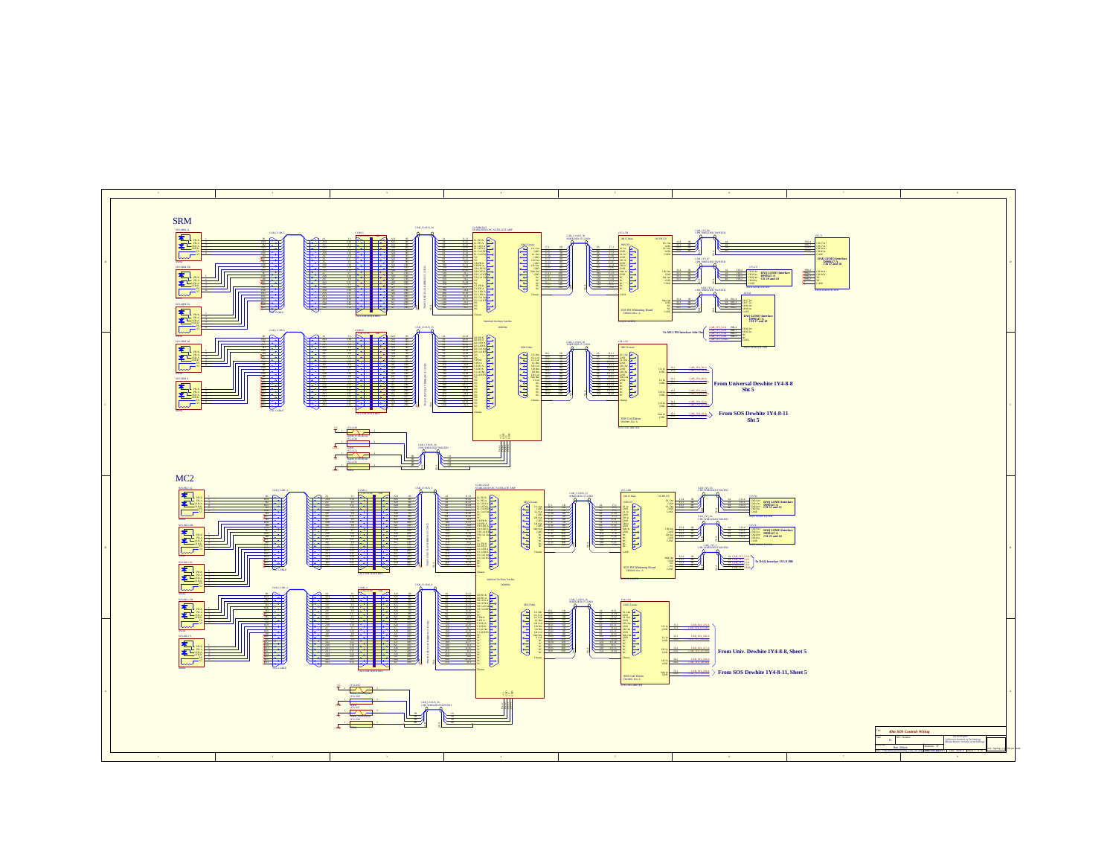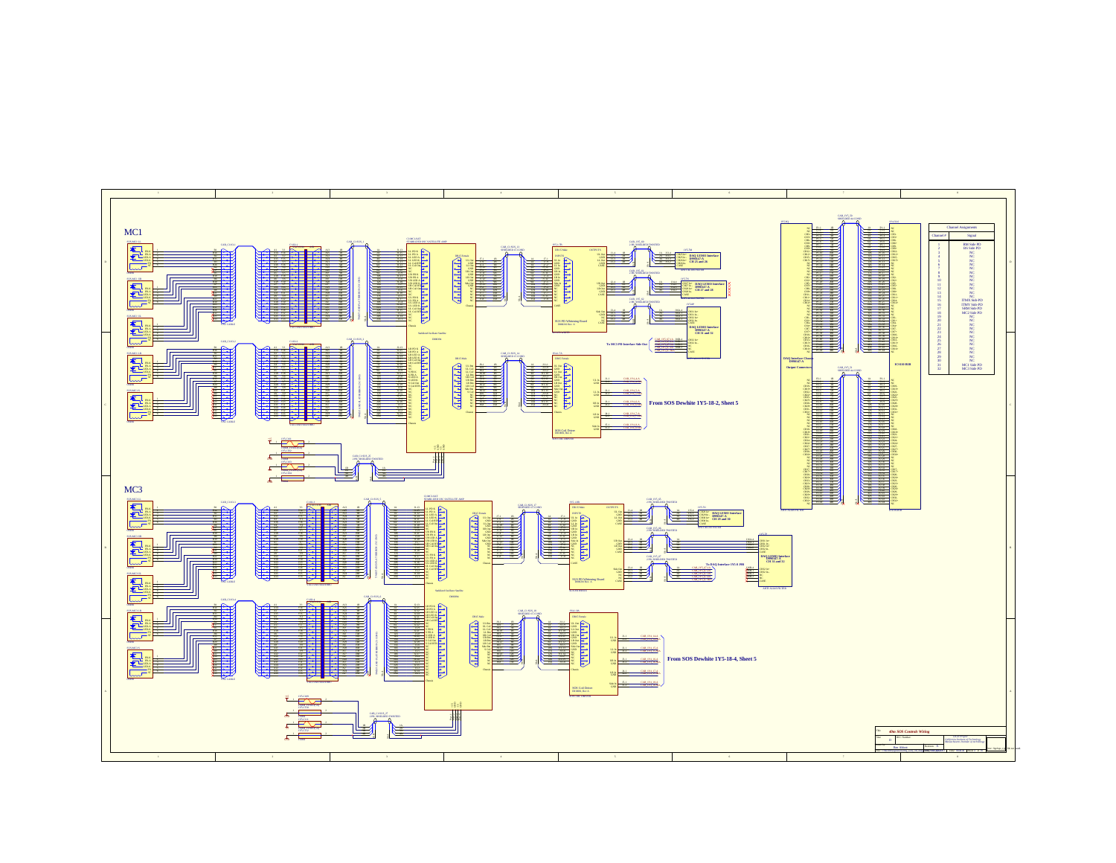![](_page_3_Figure_0.jpeg)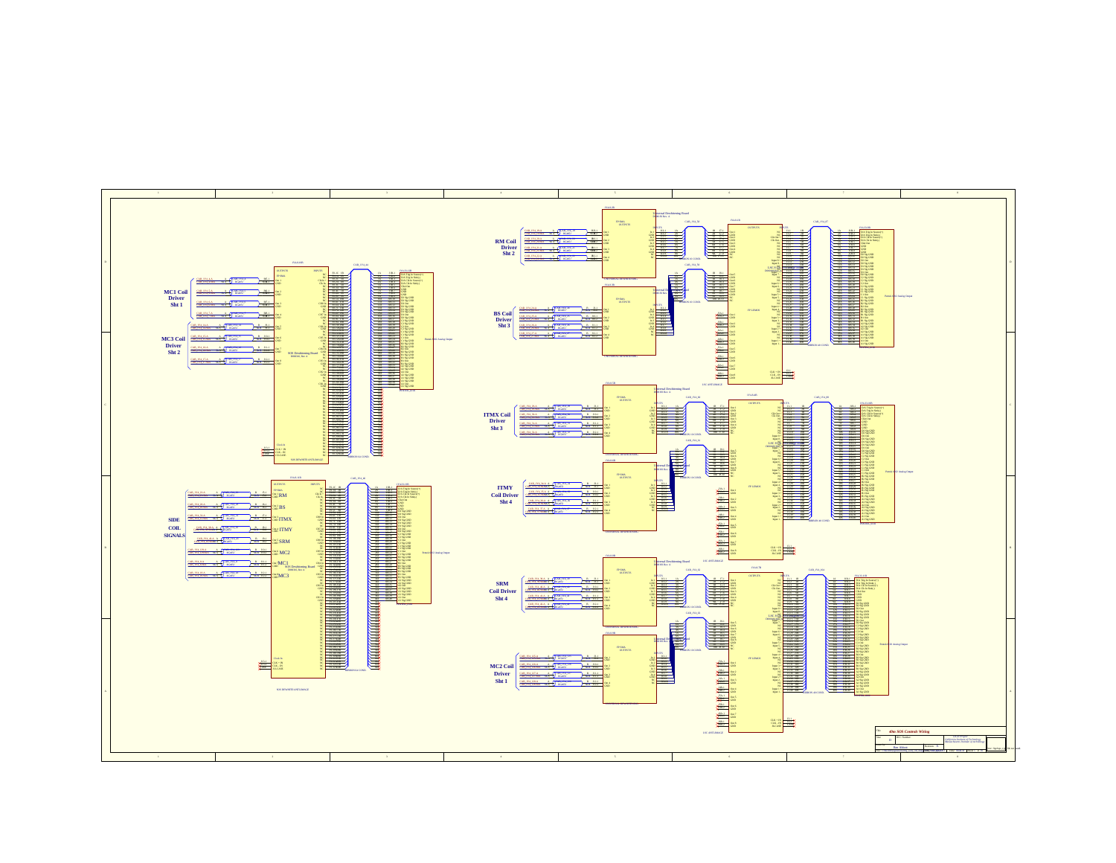![](_page_4_Figure_0.jpeg)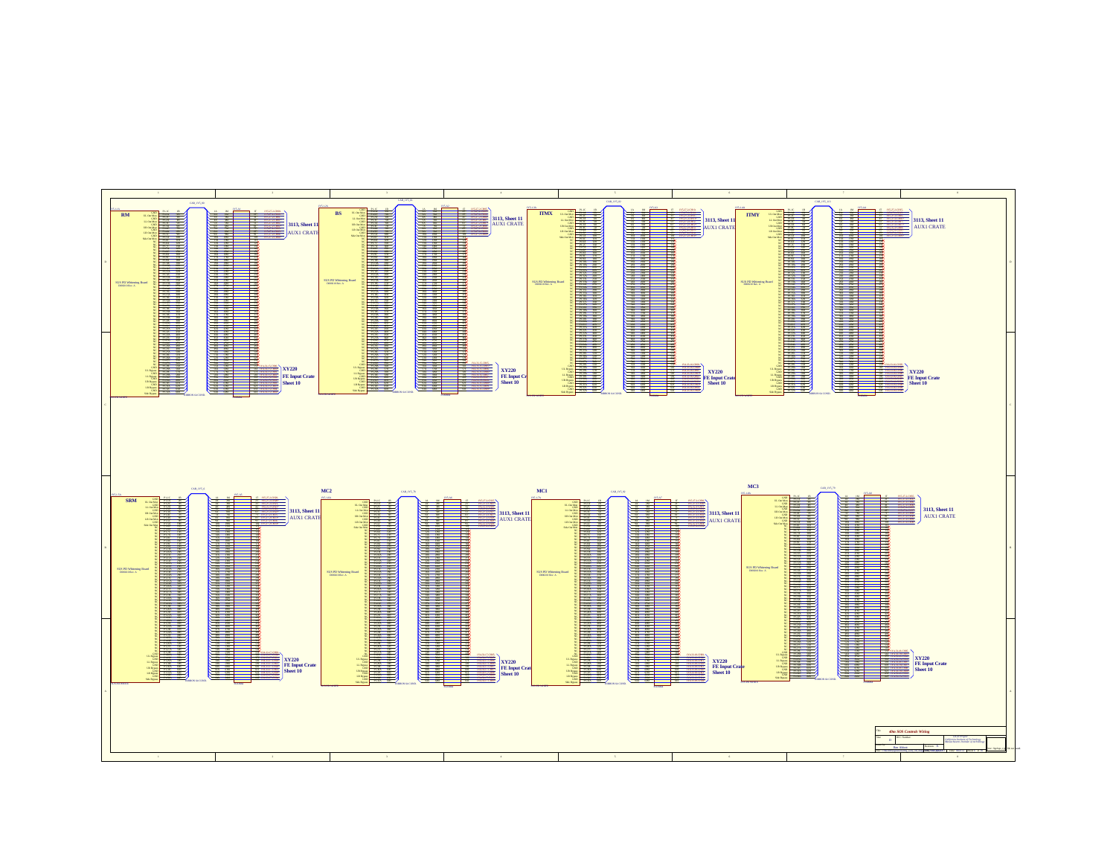![](_page_5_Figure_0.jpeg)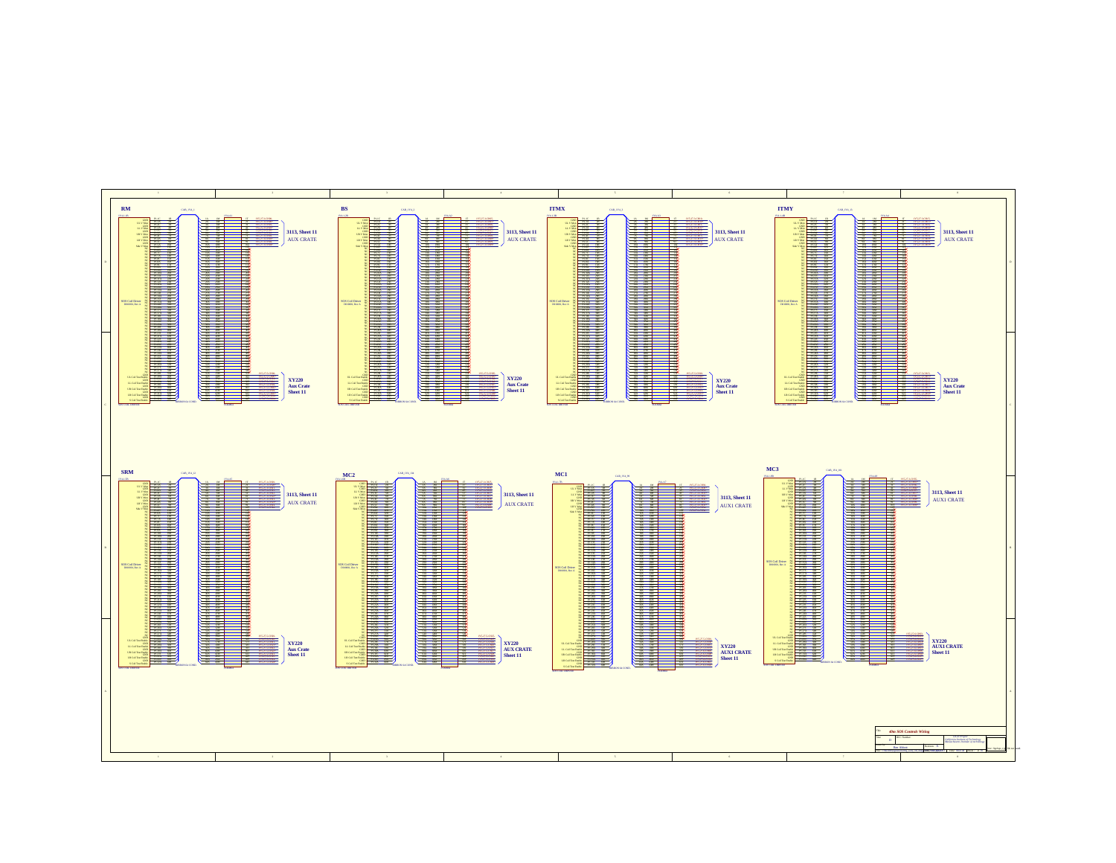![](_page_6_Figure_0.jpeg)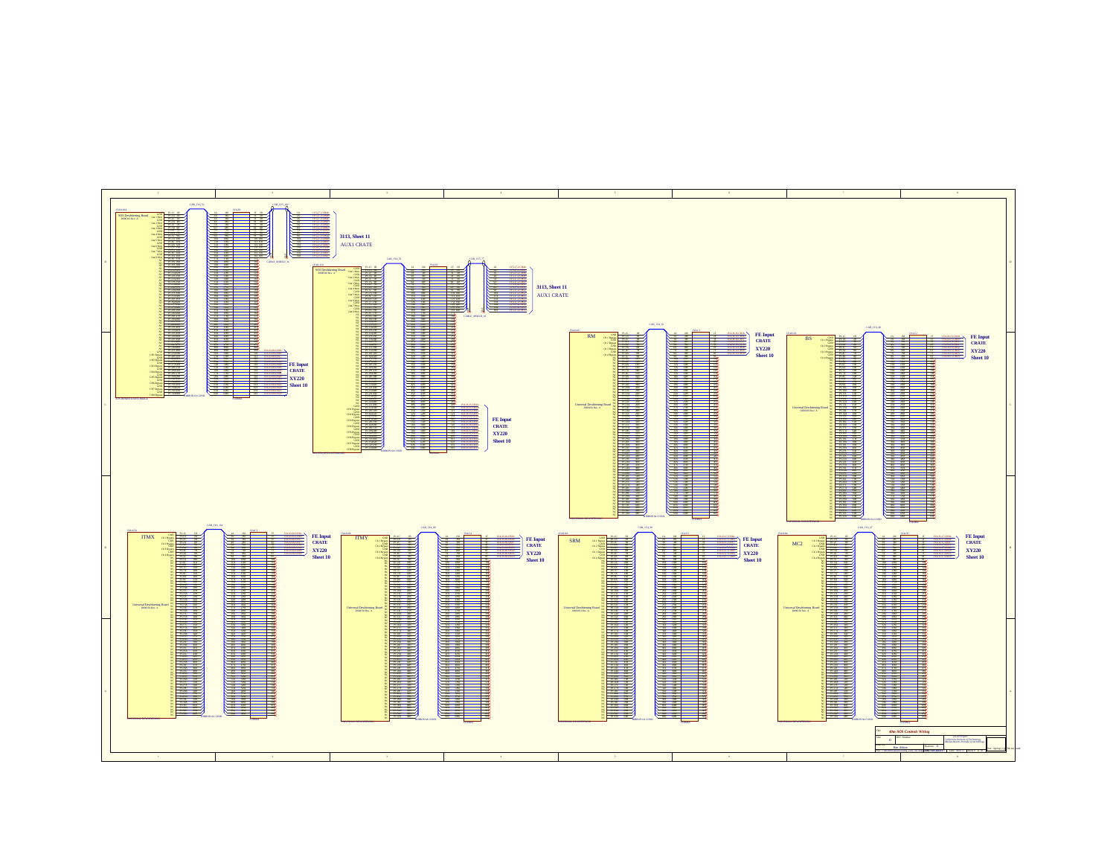![](_page_7_Figure_0.jpeg)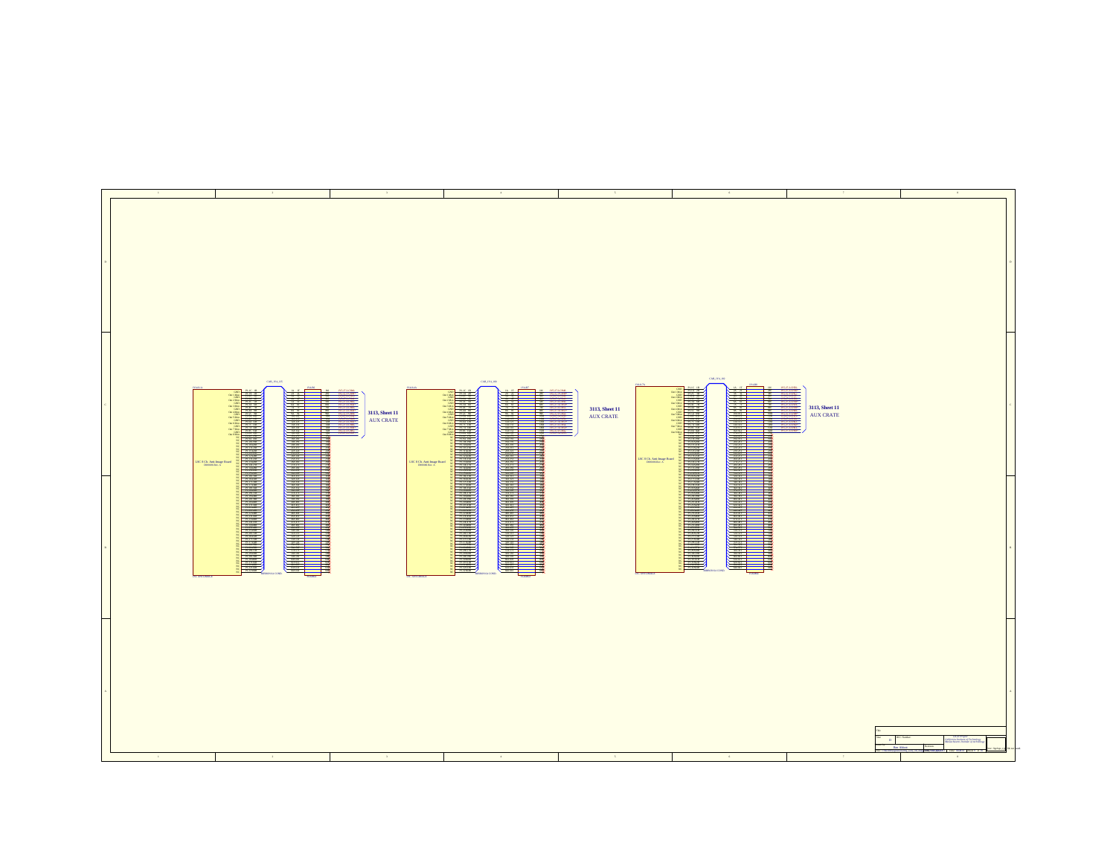![](_page_8_Figure_0.jpeg)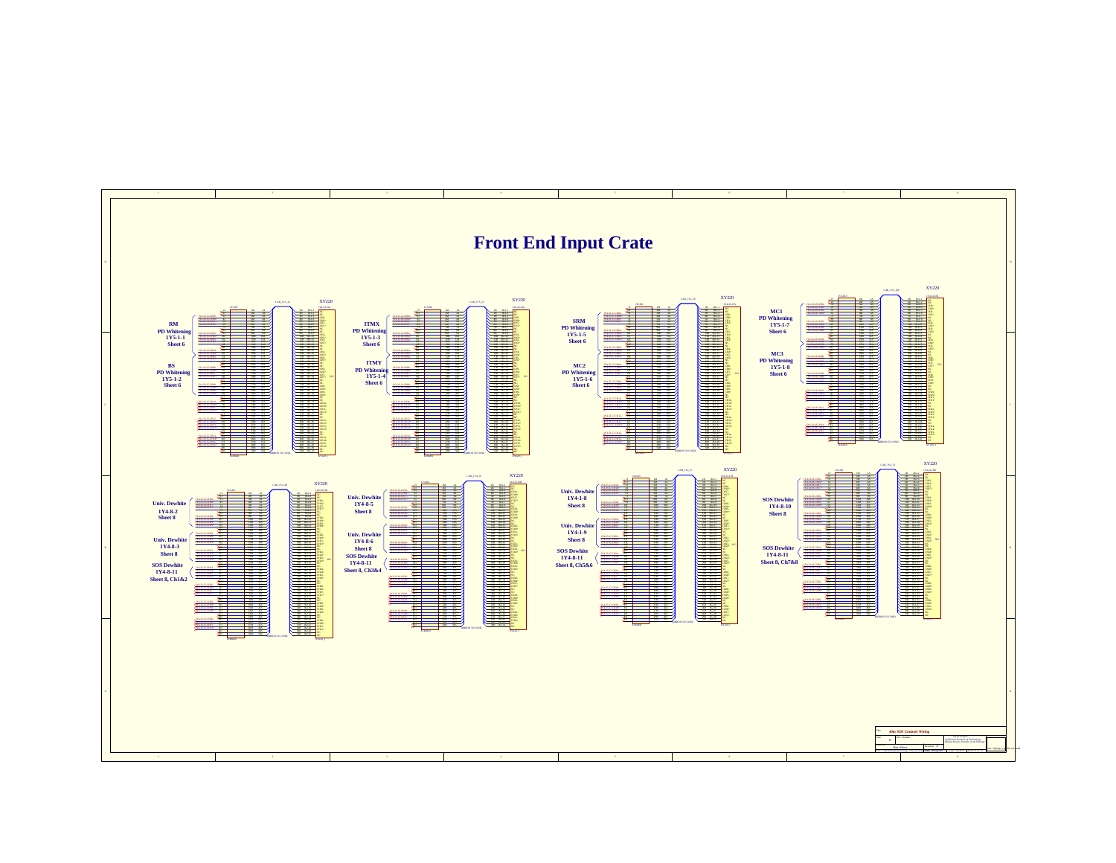![](_page_9_Figure_0.jpeg)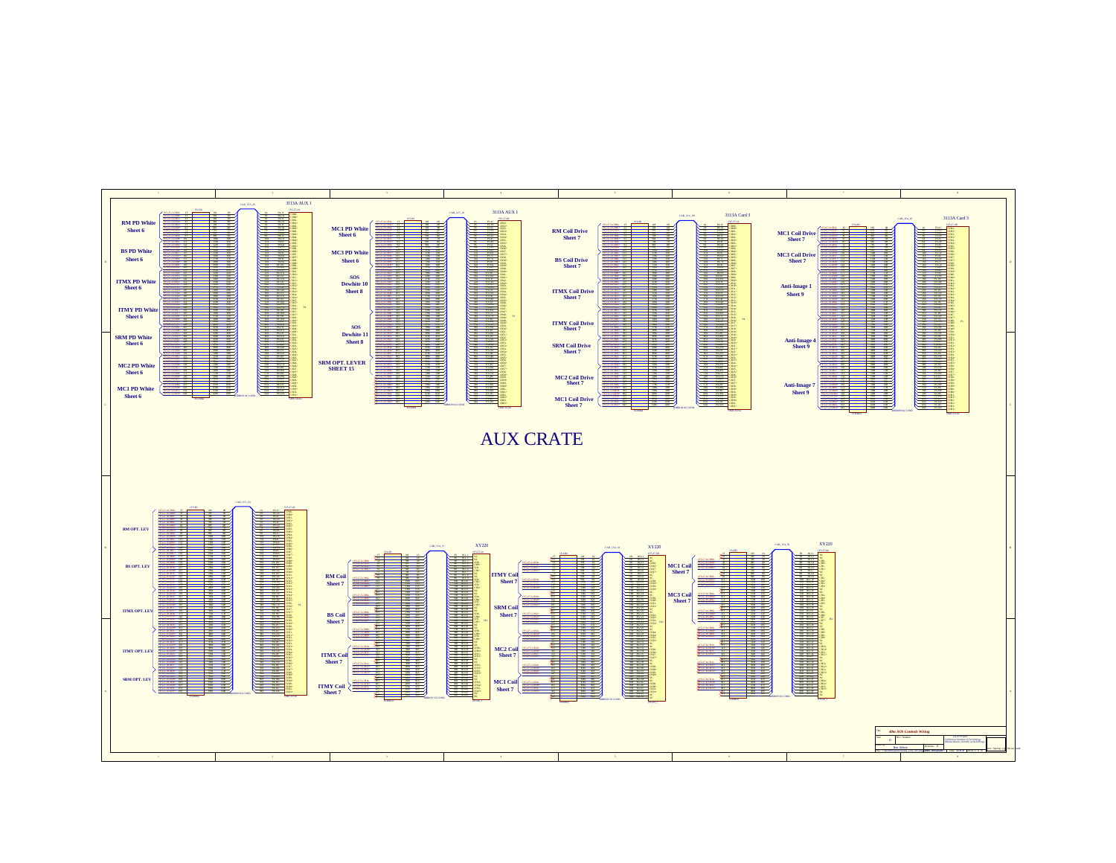![](_page_10_Figure_0.jpeg)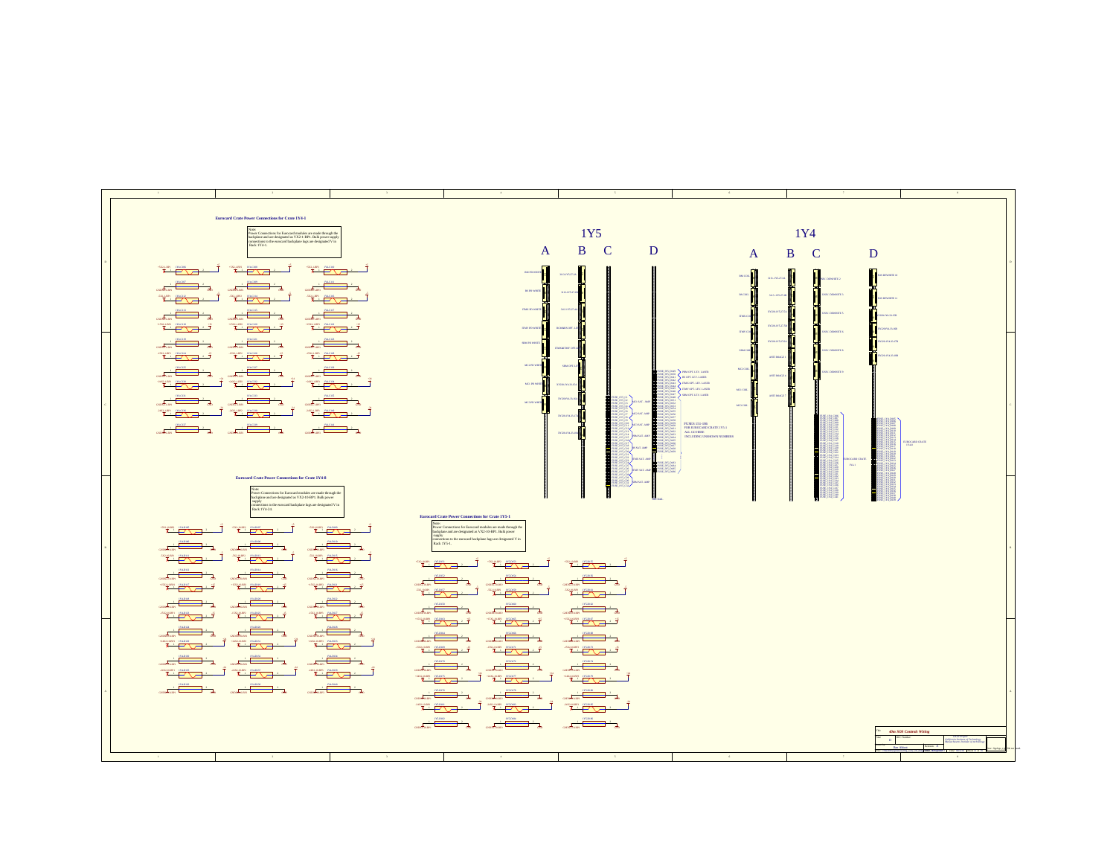| <b>Eurocard Crate Power Connections for Crate 1Y4-1</b><br>Power Connections for Eurocard modules are made through the<br>backplane and are designated as VX2-1-BP1. Bulk power supply<br>connections to the curocard backplane lags are designated V in<br>Rack 1Y4-1.                                                                                                                                                                                                                                                                                                                                                                                                                                                                                                                                                                                                                                                                                                                                                                                                                                                                                                                                                                                                                                                                                                                                                                                                                                                                                                                                                                                                                                                                                                                                                                                                                                                                                                                                                                                                                                                                                                                                                                                                                                                                                                                                                                                                                                                                                                                                            | $\mathbf{A}$                                                                                                                                                                                                                                                                                                                                                                                                                                                                                                                                                                                                                                                                                                                                                                                                                                                                                                                                                                                                                                                                                                                                                                                                                                                                | 1Y <sub>5</sub><br>B C<br>D                                                                                                                                                                                                                                                                                                                                                                                                                                                                                                                                                                                                                                                                                                                                                                                                                                                                                                                                                                                                                                                                                                               | A                                                                                                                                                                 | 1Y4<br>B<br>$\mathbf{C}$<br>D                                                                                                                         |                                                           |
|--------------------------------------------------------------------------------------------------------------------------------------------------------------------------------------------------------------------------------------------------------------------------------------------------------------------------------------------------------------------------------------------------------------------------------------------------------------------------------------------------------------------------------------------------------------------------------------------------------------------------------------------------------------------------------------------------------------------------------------------------------------------------------------------------------------------------------------------------------------------------------------------------------------------------------------------------------------------------------------------------------------------------------------------------------------------------------------------------------------------------------------------------------------------------------------------------------------------------------------------------------------------------------------------------------------------------------------------------------------------------------------------------------------------------------------------------------------------------------------------------------------------------------------------------------------------------------------------------------------------------------------------------------------------------------------------------------------------------------------------------------------------------------------------------------------------------------------------------------------------------------------------------------------------------------------------------------------------------------------------------------------------------------------------------------------------------------------------------------------------------------------------------------------------------------------------------------------------------------------------------------------------------------------------------------------------------------------------------------------------------------------------------------------------------------------------------------------------------------------------------------------------------------------------------------------------------------------------------------------------|-----------------------------------------------------------------------------------------------------------------------------------------------------------------------------------------------------------------------------------------------------------------------------------------------------------------------------------------------------------------------------------------------------------------------------------------------------------------------------------------------------------------------------------------------------------------------------------------------------------------------------------------------------------------------------------------------------------------------------------------------------------------------------------------------------------------------------------------------------------------------------------------------------------------------------------------------------------------------------------------------------------------------------------------------------------------------------------------------------------------------------------------------------------------------------------------------------------------------------------------------------------------------------|-------------------------------------------------------------------------------------------------------------------------------------------------------------------------------------------------------------------------------------------------------------------------------------------------------------------------------------------------------------------------------------------------------------------------------------------------------------------------------------------------------------------------------------------------------------------------------------------------------------------------------------------------------------------------------------------------------------------------------------------------------------------------------------------------------------------------------------------------------------------------------------------------------------------------------------------------------------------------------------------------------------------------------------------------------------------------------------------------------------------------------------------|-------------------------------------------------------------------------------------------------------------------------------------------------------------------|-------------------------------------------------------------------------------------------------------------------------------------------------------|-----------------------------------------------------------|
| $\frac{1}{\sqrt{2}}$<br><del>ᆥᅹᄽᇅ</del> ᆠᅼᆥ <del>ᇵᄧᅁᇅ</del><br>$\overbrace{\mathbf{x}}^{\text{max}}$ and $\overbrace{\mathbf{x}}^{\text{max}}$<br>$\begin{picture}(180,10) \put(0,0){\line(1,0){100}} \put(10,0){\line(1,0){100}} \put(10,0){\line(1,0){100}} \put(10,0){\line(1,0){100}} \put(10,0){\line(1,0){100}} \put(10,0){\line(1,0){100}} \put(10,0){\line(1,0){100}} \put(10,0){\line(1,0){100}} \put(10,0){\line(1,0){100}} \put(10,0){\line(1,0){100}} \put(10,0){\line(1,0){100}}$<br>$rac{1}{\cos \theta + \sin \theta}$<br>$\overbrace{\mathbf{X} \vdash \mathbf{Y} \qquad \text{and} \qquad \mathbf{X} \vdash \mathbf{Y} \qquad \text{and} \qquad \mathbf{X} \vdash \mathbf{Y} \qquad \text{and} \qquad \mathbf{X} \vdash \mathbf{Y} \qquad \text{and} \qquad \mathbf{X} \vdash \mathbf{Y} \qquad \text{and} \qquad \mathbf{X} \vdash \mathbf{Y} \qquad \text{and} \qquad \mathbf{X} \vdash \mathbf{Y} \qquad \text{and} \qquad \mathbf{X} \vdash \mathbf{Y} \qquad \text{and} \qquad \mathbf{X} \vdash$<br>$\overline{X}$ $\overline{Y}$ $\overline{Y}$ $\overline{Y}$ $\overline{Y}$                                                                                                                                                                                                                                                                                                                                                                                                                                                                                                                                                                                                                                                                                                                                                                                                                                                                                                                                                                                                                                                                                                                                                                                                                                                                                                                                                                                                                                                                                                              | <b>KMPD WHEN</b><br>as rowans<br>mecrowers<br>TIME PO WHEEL                                                                                                                                                                                                                                                                                                                                                                                                                                                                                                                                                                                                                                                                                                                                                                                                                                                                                                                                                                                                                                                                                                                                                                                                                 | ۰ŀ<br><b>RCMARK OF</b>                                                                                                                                                                                                                                                                                                                                                                                                                                                                                                                                                                                                                                                                                                                                                                                                                                                                                                                                                                                                                                                                                                                    | sor con.<br>as con.<br>303-0952538<br>33220-033<br>mey cor                                                                                                        | NV. DEWATE<br>ov resurre-<br>SIV. DENISITE 4                                                                                                          |                                                           |
| $\begin{picture}(180,10) \put(0,0){\line(1,0){100}} \put(10,0){\line(1,0){100}} \put(10,0){\line(1,0){100}} \put(10,0){\line(1,0){100}} \put(10,0){\line(1,0){100}} \put(10,0){\line(1,0){100}} \put(10,0){\line(1,0){100}} \put(10,0){\line(1,0){100}} \put(10,0){\line(1,0){100}} \put(10,0){\line(1,0){100}} \put(10,0){\line(1,0){100}}$<br><del>The control</del> of the control of the control of the control of the control of the control of the control of the control of the control of the control of the control of the control of the control of the control of the contro<br>$\begin{picture}(180,10) \put(0,0){\line(1,0){10}} \put(10,0){\line(1,0){10}} \put(10,0){\line(1,0){10}} \put(10,0){\line(1,0){10}} \put(10,0){\line(1,0){10}} \put(10,0){\line(1,0){10}} \put(10,0){\line(1,0){10}} \put(10,0){\line(1,0){10}} \put(10,0){\line(1,0){10}} \put(10,0){\line(1,0){10}} \put(10,0){\line(1,0){10}} \put(10,0){\line($<br>$\begin{picture}(180,10) \put(0,0){\line(1,0){100}} \put(10,0){\line(1,0){100}} \put(10,0){\line(1,0){100}} \put(10,0){\line(1,0){100}} \put(10,0){\line(1,0){100}} \put(10,0){\line(1,0){100}} \put(10,0){\line(1,0){100}} \put(10,0){\line(1,0){100}} \put(10,0){\line(1,0){100}} \put(10,0){\line(1,0){100}} \put(10,0){\line(1,0){100}}$<br>$\begin{array}{c c c c c} & \text{picm} & & \\ \hline & & & & \\ \hline & & & & \\ \hline & & & & \\ \hline \end{array}$<br><b>The Country of the Country of the Country of the Country of the Country of the Country of the Country of the Country of the Country of the Country of the Country of the Country of the Country of the Country of the Country</b><br>$\frac{1}{\sqrt{2}}\sum_{i=1}^{\infty}\frac{1}{\sqrt{2}}\sum_{i=1}^{\infty}\frac{1}{\sqrt{2}}\sum_{i=1}^{\infty}\frac{1}{\sqrt{2}}\sum_{i=1}^{\infty}\frac{1}{\sqrt{2}}\sum_{i=1}^{\infty}\frac{1}{\sqrt{2}}\sum_{i=1}^{\infty}\frac{1}{\sqrt{2}}\sum_{i=1}^{\infty}\frac{1}{\sqrt{2}}\sum_{i=1}^{\infty}\frac{1}{\sqrt{2}}\sum_{i=1}^{\infty}\frac{1}{\sqrt{2}}\sum_{i=1}^{\infty}\frac{1}{\sqrt{2}}$<br>$\begin{picture}(150,10) \put(0,0){\line(1,0){100}} \put(10,0){\line(1,0){100}} \put(10,0){\line(1,0){100}} \put(10,0){\line(1,0){100}} \put(10,0){\line(1,0){100}} \put(10,0){\line(1,0){100}} \put(10,0){\line(1,0){100}} \put(10,0){\line(1,0){100}} \put(10,0){\line(1,0){100}} \put(10,0){\line(1,0){100}} \put(10,0){\line(1,0){100}}$                                                                                                                                                                                       | <b>SRM PD WHITE</b><br>MC2 PD WHEEL<br>MCI PD WHITE<br>MCI PD WI                                                                                                                                                                                                                                                                                                                                                                                                                                                                                                                                                                                                                                                                                                                                                                                                                                                                                                                                                                                                                                                                                                                                                                                                            | savorus.<br>XY20-IY6-R<br><b>SYSTEMS</b>                                                                                                                                                                                                                                                                                                                                                                                                                                                                                                                                                                                                                                                                                                                                                                                                                                                                                                                                                                                                                                                                                                  | XY220-1Y<br>$s$ as coa<br>MC2 COIL<br>$\sum$ PRAI OPT. LEV. LASER<br>BE OFF LEV. LASER<br>mecon.LEV.LASER<br>They one LEV, LASER<br>MCTCOH<br>SENIOPT, LEV. LASER | I.<br>SIV. DENHITE:<br>l.<br>V. DENGITE                                                                                                               |                                                           |
| $\overbrace{\mathbf{x}^{\text{top}}\mathbf{y}^{\text{top}}\mathbf{y}^{\text{top}}\mathbf{y}^{\text{top}}\mathbf{y}^{\text{top}}\mathbf{y}^{\text{top}}\mathbf{y}^{\text{top}}\mathbf{y}^{\text{top}}\mathbf{y}^{\text{top}}\mathbf{y}^{\text{top}}\mathbf{y}^{\text{top}}\mathbf{y}^{\text{top}}\mathbf{y}^{\text{top}}\mathbf{y}^{\text{top}}\mathbf{y}^{\text{top}}\mathbf{y}^{\text{top}}\mathbf{y}^{\text{top}}\mathbf{y}^{\text{top}}\math$                                                                                                                                                                                                                                                                                                                                                                                                                                                                                                                                                                                                                                                                                                                                                                                                                                                                                                                                                                                                                                                                                                                                                                                                                                                                                                                                                                                                                                                                                                                                                                                                                                                                                                                                                                                                                                                                                                                                                                                                                                                                                                                                                                   |                                                                                                                                                                                                                                                                                                                                                                                                                                                                                                                                                                                                                                                                                                                                                                                                                                                                                                                                                                                                                                                                                                                                                                                                                                                                             | <b>SYSTEMS</b><br>SE IVS DISK<br>SE IVS DISK<br>SE IVS DI60<br>SE IVS DI61<br>XYZI0 (Y)<br>E IVI DIGI<br>E IVI DIGI<br>E IVS DI61<br>E IVS DI61<br>E IVS DIE<br>E IVS DIE<br>E IVS DIE<br>E IVS DIE                                                                                                                                                                                                                                                                                                                                                                                                                                                                                                                                                                                                                                                                                                                                                                                                                                                                                                                                       | метеов.<br><b>FUNES 151,186</b><br>FOR EUROCARD CRATE IY5-1<br>ALL GO HERE<br>INCLUDING UNSHOWN NUMBERS                                                           | 16. 111 0006<br>16. 111 0006<br>16. 111 0006<br>16. 111 0006<br><b>ANGEL</b><br><b>ANGEL</b><br><b>GOULD CRATE</b><br>$_{\rm NFT}$<br><b>E</b> mi bez |                                                           |
| <b>Eurocard Crate Power Connections for Crate 1Y4-8</b><br>Nower Connections for Eurocard modules are made through the<br>Bower Connections and are designated as VX2-10-BP1. Bulk power<br>supply supply that connections to the curocard backplane lugs are designated<br>$\rm V$ in competitions<br>Rack 1Y4-24.<br>$\begin{picture}(150,10) \put(0,0){\line(1,0){10}} \put(15,0){\line(1,0){10}} \put(15,0){\line(1,0){10}} \put(15,0){\line(1,0){10}} \put(15,0){\line(1,0){10}} \put(15,0){\line(1,0){10}} \put(15,0){\line(1,0){10}} \put(15,0){\line(1,0){10}} \put(15,0){\line(1,0){10}} \put(15,0){\line(1,0){10}} \put(15,0){\line(1,0){10}} \put(15,0){\line($                                                                                                                                                                                                                                                                                                                                                                                                                                                                                                                                                                                                                                                                                                                                                                                                                                                                                                                                                                                                                                                                                                                                                                                                                                                                                                                                                                                                                                                                                                                                                                                                                                                                                                                                                                                                                                                                                                                                         | <b>Eurocard Crate Power Connections for Crate 1Y5-1</b><br>Power Connections for Eurocard modules are made through the<br>buckplane and are designated as VX2-10-BP1. Bulk power<br>supply<br>connections to the curocard backplane lags are designated V in<br>Rack 1Y5-1.                                                                                                                                                                                                                                                                                                                                                                                                                                                                                                                                                                                                                                                                                                                                                                                                                                                                                                                                                                                                 |                                                                                                                                                                                                                                                                                                                                                                                                                                                                                                                                                                                                                                                                                                                                                                                                                                                                                                                                                                                                                                                                                                                                           |                                                                                                                                                                   |                                                                                                                                                       |                                                           |
| <u>the compact of the compact of the compact of the compact of the compact of the compact of the compact of the compact of the compact of the compact of the compact of the compact of the compact of the compact of the compact</u><br>$\overbrace{\mathbf{x}}^{\text{comp}}$<br>$\begin{picture}(180,10) \put(0,0){\line(1,0){100}} \put(10,0){\line(1,0){100}} \put(10,0){\line(1,0){100}} \put(10,0){\line(1,0){100}} \put(10,0){\line(1,0){100}} \put(10,0){\line(1,0){100}} \put(10,0){\line(1,0){100}} \put(10,0){\line(1,0){100}} \put(10,0){\line(1,0){100}} \put(10,0){\line(1,0){100}} \put(10,0){\line(1,0){100}}$<br>$\begin{picture}(180,10) \put(0,0){\line(1,0){10}} \put(10,0){\line(1,0){10}} \put(10,0){\line(1,0){10}} \put(10,0){\line(1,0){10}} \put(10,0){\line(1,0){10}} \put(10,0){\line(1,0){10}} \put(10,0){\line(1,0){10}} \put(10,0){\line(1,0){10}} \put(10,0){\line(1,0){10}} \put(10,0){\line(1,0){10}} \put(10,0){\line(1,0){10}} \put(10,0){\line($<br>$\overbrace{\mathbf{1}_{\text{cusp}}\text{ or } \text{cusp}}^{\text{cusp}}\cdots \overbrace{\mathbf{1}_{\text{cusp}}^{\text{cusp}}\cdots \mathbf{1}_{\text{cusp}}^{\text{cusp}}}\cdot \overbrace{\mathbf{1}_{\text{cusp}}\text{ or } \text{cusp}}^{\text{cusp}}\cdot \overbrace{\mathbf{1}_{\text{cusp}}\text{ or } \text{cusp}}^{\text{cusp}}$<br>$\overbrace{\mathbf{x} \xrightarrow{\text{map}} \mathbf{x} \xrightarrow{\text{map}} \mathbf{x} \xrightarrow{\text{map}} \mathbf{x}}$<br>$\begin{picture}(150,10) \put(0,0){\line(1,0){100}} \put(10,0){\line(1,0){100}} \put(10,0){\line(1,0){100}} \put(10,0){\line(1,0){100}} \put(10,0){\line(1,0){100}} \put(10,0){\line(1,0){100}} \put(10,0){\line(1,0){100}} \put(10,0){\line(1,0){100}} \put(10,0){\line(1,0){100}} \put(10,0){\line(1,0){100}} \put(10,0){\line(1,0){100}}$<br>$\begin{array}{c c c c} & \text{mean} & \text{p} \\ \hline & \text{mean} & \text{p} \\ \hline \end{array}$                                                                                                                                                                                                                                                                                                                                                                                                                                                                                                                                                                                                                                                                     | <u>seathern in the contract of the contract of the contract of the contract of the contract of the contract of the contract of the contract of the contract of the contract of the contract of the contract of the contract of t</u><br><del>timo in the second</del><br>$\underbrace{\hspace{1.5cm}}_{\text{GMD-Isom}} + \underbrace{\hspace{1.5cm}}_{\text{GMD-Isom}} + \underbrace{\hspace{1.5cm}}_{\text{GMD-Isom}} + \underbrace{\hspace{1.5cm}}_{\text{GMD-Isom}} + \underbrace{\hspace{1.5cm}}_{\text{GMD-Isom}} + \underbrace{\hspace{1.5cm}}_{\text{GMD-Isom}} + \underbrace{\hspace{1.5cm}}_{\text{GMD-Isom}} + \underbrace{\hspace{1.5cm}}_{\text{GMD-Isom}} + \underbrace{\hspace{1.5cm}}_{\text{GMD-Isom}} + \underbrace{\hspace{1.5cm}}_{$                                                                                                                                                                                                                                                                                                                                                                                                                                                                                                                    | $\begin{array}{c}\n\text{exp}(\mathbf{a}x) \\ \text{exp}(\mathbf{a}x) \\ \text{exp}(\mathbf{a}x) \\ \text{exp}(\mathbf{a}x) \\ \text{exp}(\mathbf{a}x) \\ \text{exp}(\mathbf{a}x) \\ \text{exp}(\mathbf{a}x) \\ \text{exp}(\mathbf{a}x) \\ \text{exp}(\mathbf{a}x) \\ \text{exp}(\mathbf{a}x) \\ \text{exp}(\mathbf{a}x) \\ \text{exp}(\mathbf{a}x) \\ \text{exp}(\mathbf{a}x) \\ \text{exp}(\mathbf{a}x) \\ \text{exp}(\mathbf{a}x) \\ \text$<br>$\begin{picture}(180,10) \put(0,0){\line(1,0){10}} \put(10,0){\line(1,0){10}} \put(10,0){\line(1,0){10}} \put(10,0){\line(1,0){10}} \put(10,0){\line(1,0){10}} \put(10,0){\line(1,0){10}} \put(10,0){\line(1,0){10}} \put(10,0){\line(1,0){10}} \put(10,0){\line(1,0){10}} \put(10,0){\line(1,0){10}} \put(10,0){\line(1,0){10}} \put(10,0){\line($<br>$\begin{array}{c c c c c} & \text{resime} & & \\ \hline & & & \\ \hline\end{array}$                                                                                                                                                                                                                                              |                                                                                                                                                                   |                                                                                                                                                       |                                                           |
| $\frac{1}{\sqrt{2}}$<br>$\overbrace{\mathbf{x}}^{\text{mean}} \overbrace{\mathbf{y}}^{\text{mean}}$<br>$\overbrace{\mathbf{x}} \longrightarrow \overbrace{\mathbf{x}} \longrightarrow \overbrace{\mathbf{x}}$<br>$\begin{picture}(180,10) \put(0,0){\line(1,0){100}} \put(0,0){\line(1,0){100}} \put(0,0){\line(1,0){100}} \put(0,0){\line(1,0){100}} \put(0,0){\line(1,0){100}} \put(0,0){\line(1,0){100}} \put(0,0){\line(1,0){100}} \put(0,0){\line(1,0){100}} \put(0,0){\line(1,0){100}} \put(0,0){\line(1,0){100}} \put(0,0){\line(1,0){100}} \put(0,0){\line($<br>$\begin{picture}(180,10) \put(0,0){\line(1,0){10}} \put(10,0){\line(1,0){10}} \put(10,0){\line(1,0){10}} \put(10,0){\line(1,0){10}} \put(10,0){\line(1,0){10}} \put(10,0){\line(1,0){10}} \put(10,0){\line(1,0){10}} \put(10,0){\line(1,0){10}} \put(10,0){\line(1,0){10}} \put(10,0){\line(1,0){10}} \put(10,0){\line(1,0){10}} \put(10,0){\line($<br><b>THE CONTRACT OF THE CONTRACT OF A REPORT OF THE CONTRACT OF A REPORT OF THE CONTRACT OF A REPORT OF THE CONTRACT OF THE CONTRACT OF A REPORT OF THE CONTRACT OF A REPORT OF THE CONTRACT OF A REPORT OF THE CONTRACT OF THE C</b><br>$\begin{picture}(180,10) \put(0,0){\line(1,0){10}} \put(10,0){\line(1,0){10}} \put(10,0){\line(1,0){10}} \put(10,0){\line(1,0){10}} \put(10,0){\line(1,0){10}} \put(10,0){\line(1,0){10}} \put(10,0){\line(1,0){10}} \put(10,0){\line(1,0){10}} \put(10,0){\line(1,0){10}} \put(10,0){\line(1,0){10}} \put(10,0){\line(1,0){10}} \put(10,0){\line($<br>$\begin{picture}(180,10) \put(0,0){\line(1,0){100}} \put(10,0){\line(1,0){100}} \put(10,0){\line(1,0){100}} \put(10,0){\line(1,0){100}} \put(10,0){\line(1,0){100}} \put(10,0){\line(1,0){100}} \put(10,0){\line(1,0){100}} \put(10,0){\line(1,0){100}} \put(10,0){\line(1,0){100}} \put(10,0){\line(1,0){100}} \put(10,0){\line(1,0){100}}$<br>$\begin{picture}(180,10) \put(0,0){\line(1,0){100}} \put(10,0){\line(1,0){100}} \put(10,0){\line(1,0){100}} \put(10,0){\line(1,0){100}} \put(10,0){\line(1,0){100}} \put(10,0){\line(1,0){100}} \put(10,0){\line(1,0){100}} \put(10,0){\line(1,0){100}} \put(10,0){\line(1,0){100}} \put(10,0){\line(1,0){100}} \put(10,0){\line(1,0){100}}$<br>$\overline{X}$ $\overline{X}$ $\overline{X}$ $\overline{X}$ $\overline{X}$ $\overline{X}$ $\overline{X}$ $\overline{X}$ $\overline{X}$ $\overline{X}$ $\overline{X}$ $\overline{X}$ $\overline{X}$ $\overline{X}$ $\overline{X}$ $\overline{X}$ $\overline{X}$ $\overline{X}$ $\overline{X}$ $\overline{X}$ $\overline{X}$ $\overline{X}$ $\overline{X}$ $\overline{X}$ $\overline{$ | <b>ATALLE THEAT</b><br>$\begin{picture}(180,10) \put(0,0){\line(1,0){100}} \put(10,0){\line(1,0){100}} \put(10,0){\line(1,0){100}} \put(10,0){\line(1,0){100}} \put(10,0){\line(1,0){100}} \put(10,0){\line(1,0){100}} \put(10,0){\line(1,0){100}} \put(10,0){\line(1,0){100}} \put(10,0){\line(1,0){100}} \put(10,0){\line(1,0){100}} \put(10,0){\line(1,0){100}}$<br>$\overbrace{\mathbf{x}} \hspace{2mm} \overbrace{\mathbf{x}} \hspace{2mm} \overbrace{\mathbf{x}} \hspace{2mm} \overbrace{\mathbf{x}} \hspace{2mm} \overbrace{\mathbf{x}} \hspace{2mm} \overbrace{\mathbf{x}} \hspace{2mm} \overbrace{\mathbf{x}} \hspace{2mm} \overbrace{\mathbf{x}} \hspace{2mm} \overbrace{\mathbf{x}} \hspace{2mm} \overbrace{\mathbf{x}} \hspace{2mm} \overbrace{\mathbf{x}} \hspace{2mm} \overbrace{\mathbf{x}} \hspace{2mm} \overbrace{\mathbf{x}} \hspace{2mm} \overbrace{\mathbf{x}} \hspace{2mm} \overbrace{\mathbf{x}} \hs$<br>$\begin{picture}(180,10) \put(0,0){\line(1,0){100}} \put(10,0){\line(1,0){100}} \put(10,0){\line(1,0){100}} \put(10,0){\line(1,0){100}} \put(10,0){\line(1,0){100}} \put(10,0){\line(1,0){100}} \put(10,0){\line(1,0){100}} \put(10,0){\line(1,0){100}} \put(10,0){\line(1,0){100}} \put(10,0){\line(1,0){100}} \put(10,0){\line(1,0){100}}$ | $\begin{picture}(150,10) \put(0,0){\line(1,0){100}} \put(15,0){\line(1,0){100}} \put(15,0){\line(1,0){100}} \put(15,0){\line(1,0){100}} \put(15,0){\line(1,0){100}} \put(15,0){\line(1,0){100}} \put(15,0){\line(1,0){100}} \put(15,0){\line(1,0){100}} \put(15,0){\line(1,0){100}} \put(15,0){\line(1,0){100}} \put(15,0){\line(1,0){100}}$<br>$\begin{array}{c c c c c} & \mbox{resons} & \mbox{} \\ \hline & \mbox{} & \mbox{} \\ \mbox{} & \mbox{} & \mbox{} \\ \mbox{} & \mbox{} & \mbox{} \\ \mbox{} & \mbox{} & \mbox{} \end{array}$<br>$\overbrace{\mathbf{X} \qquad \qquad }^{\text{non-zero}} \quad \overbrace{\phantom{X} \qquad \qquad }^{\text{non-zero}}$<br>$\begin{array}{c c c c c} & \mbox{non} & \mbox{} & \mbox{} \\ \hline & \mbox{} & \mbox{} & \mbox{} \\ \mbox{} & \mbox{} & \mbox{} & \mbox{} \\ \mbox{} & \mbox{} & \mbox{} & \mbox{} \\ \mbox{} & \mbox{} & \mbox{} & \mbox{} \\ \mbox{} & \mbox{} & \mbox{} & \mbox{} \\ \mbox{} & \mbox{} & \mbox{} & \mbox{} \\ \mbox{} & \mbox{} & \mbox{} & \mbox{} \\ \mbox{} & \mbox{} & \mbox{} & \mbox{} \\ \mbox{} & \mbox{} & \mbox{} & \mbox{} \\ \mbox{} & \mbox$ |                                                                                                                                                                   |                                                                                                                                                       |                                                           |
|                                                                                                                                                                                                                                                                                                                                                                                                                                                                                                                                                                                                                                                                                                                                                                                                                                                                                                                                                                                                                                                                                                                                                                                                                                                                                                                                                                                                                                                                                                                                                                                                                                                                                                                                                                                                                                                                                                                                                                                                                                                                                                                                                                                                                                                                                                                                                                                                                                                                                                                                                                                                                    | $\begin{picture}(180,10) \put(0,0){\line(1,0){100}} \put(10,0){\line(1,0){100}} \put(10,0){\line(1,0){100}} \put(10,0){\line(1,0){100}} \put(10,0){\line(1,0){100}} \put(10,0){\line(1,0){100}} \put(10,0){\line(1,0){100}} \put(10,0){\line(1,0){100}} \put(10,0){\line(1,0){100}} \put(10,0){\line(1,0){100}} \put(10,0){\line(1,0){100}}$<br>$\overbrace{\mathbf{X}}^{\text{non-zero}} \xrightarrow{\text{non-zero}} \overbrace{\mathbf{X}}^{\text{non-zero}} \xrightarrow{\mathbf{X}} \xrightarrow{\text{non-zero}} \overbrace{\mathbf{X}}^{\text{non-zero}} \xrightarrow{\text{non-zero}} \overbrace{\mathbf{X}}^{\text{non-zero}}$<br>and the contract of the contract of the contract of the contract of the contract of the contract of the contract of the contract of the contract of the contract of the contract of the contract of the contract of the contra                                                                                                                                                                                                                                                                                                                                                                                                  | $\begin{array}{c c c c c c} & \text{tragon} & & & \\ \hline & & & & \\ \hline & & & & \\ \hline \end{array}$<br>$\overbrace{\mathbf{X}}^{\text{SUS BMS}}$                                                                                                                                                                                                                                                                                                                                                                                                                                                                                                                                                                                                                                                                                                                                                                                                                                                                                                                                                                                 |                                                                                                                                                                   |                                                                                                                                                       | 40m SOS Controls Wiring<br>DCC Nanber<br><b>Buy Abbon</b> |
| $\rightarrow$                                                                                                                                                                                                                                                                                                                                                                                                                                                                                                                                                                                                                                                                                                                                                                                                                                                                                                                                                                                                                                                                                                                                                                                                                                                                                                                                                                                                                                                                                                                                                                                                                                                                                                                                                                                                                                                                                                                                                                                                                                                                                                                                                                                                                                                                                                                                                                                                                                                                                                                                                                                                      |                                                                                                                                                                                                                                                                                                                                                                                                                                                                                                                                                                                                                                                                                                                                                                                                                                                                                                                                                                                                                                                                                                                                                                                                                                                                             |                                                                                                                                                                                                                                                                                                                                                                                                                                                                                                                                                                                                                                                                                                                                                                                                                                                                                                                                                                                                                                                                                                                                           | $\sim$                                                                                                                                                            |                                                                                                                                                       |                                                           |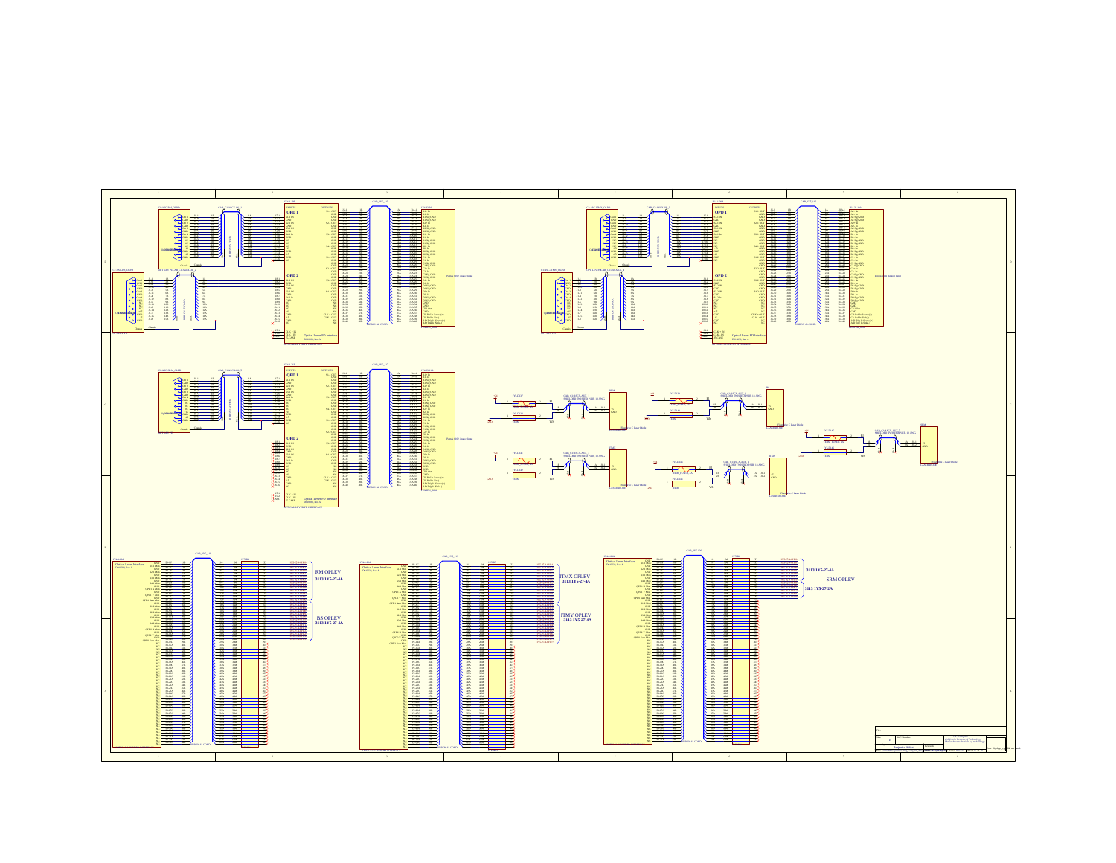![](_page_12_Figure_0.jpeg)